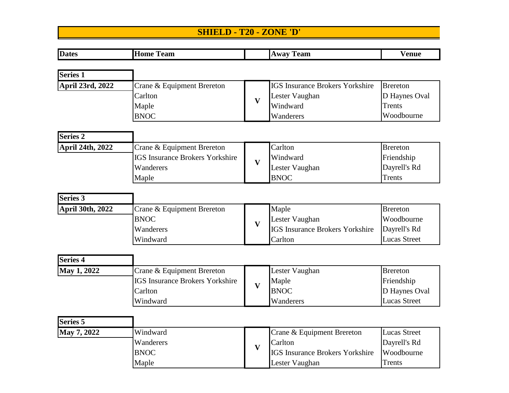## **SHIELD - T20 - ZONE 'D'**

| <b>Dates</b>            | <b>Home Team</b>                       |                         | <b>Away Team</b>                       | <b>Venue</b>        |
|-------------------------|----------------------------------------|-------------------------|----------------------------------------|---------------------|
|                         |                                        |                         |                                        |                     |
| <b>Series 1</b>         |                                        |                         |                                        |                     |
| <b>April 23rd, 2022</b> | Crane & Equipment Brereton             |                         | <b>IGS Insurance Brokers Yorkshire</b> | <b>Brereton</b>     |
|                         | Carlton                                | $\overline{\mathbf{V}}$ | Lester Vaughan                         | D Haynes Oval       |
|                         | Maple                                  |                         | Windward                               | Trents              |
|                         | <b>BNOC</b>                            |                         | Wanderers                              | Woodbourne          |
| <b>Series 2</b>         |                                        |                         |                                        |                     |
| April 24th, 2022        | Crane & Equipment Brereton             |                         | Carlton                                | <b>Brereton</b>     |
|                         | <b>IGS Insurance Brokers Yorkshire</b> | $\overline{\mathbf{V}}$ | Windward                               | Friendship          |
|                         | Wanderers                              |                         | Lester Vaughan                         | Dayrell's Rd        |
|                         | Maple                                  |                         | <b>BNOC</b>                            | Trents              |
|                         |                                        |                         |                                        |                     |
| <b>Series 3</b>         |                                        |                         |                                        |                     |
| April 30th, 2022        | Crane & Equipment Brereton             |                         | Maple                                  | <b>Brereton</b>     |
|                         | <b>BNOC</b>                            | $\overline{\mathbf{V}}$ | Lester Vaughan                         | Woodbourne          |
|                         | Wanderers                              |                         | <b>IGS Insurance Brokers Yorkshire</b> | Dayrell's Rd        |
|                         | Windward                               |                         | Carlton                                | <b>Lucas Street</b> |
| Series <sub>4</sub>     |                                        |                         |                                        |                     |
| May 1, 2022             | Crane & Equipment Brereton             |                         | Lester Vaughan                         | <b>Brereton</b>     |
|                         | <b>IGS Insurance Brokers Yorkshire</b> |                         | Maple                                  | Friendship          |
|                         | Carlton                                | $\overline{\mathbf{V}}$ | <b>BNOC</b>                            | D Haynes Oval       |
|                         | Windward                               |                         | Wanderers                              | <b>Lucas Street</b> |
| <b>Series 5</b>         |                                        |                         |                                        |                     |
| May 7, 2022             | Windward                               |                         | Crane & Equipment Brereton             | <b>Lucas Street</b> |
|                         | Wanderers                              | $\overline{\mathbf{V}}$ | Carlton                                | Dayrell's Rd        |
|                         | <b>BNOC</b>                            |                         | <b>IGS Insurance Brokers Yorkshire</b> | Woodbourne          |
|                         | Maple                                  |                         | Lester Vaughan                         | <b>Trents</b>       |